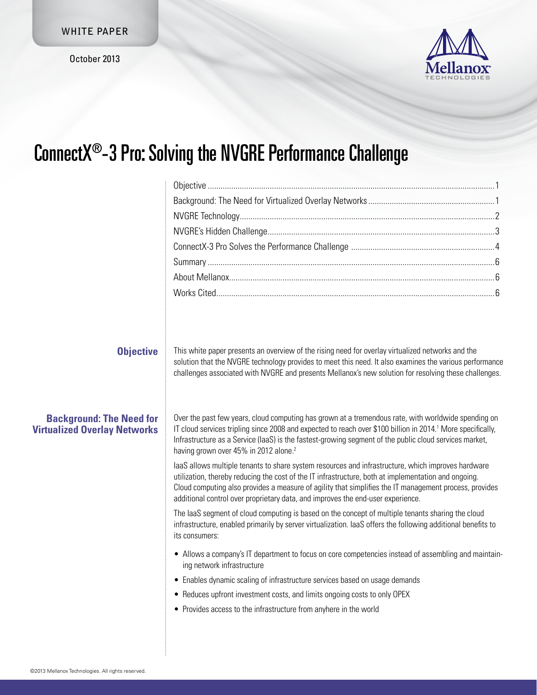October 2013



## ConnectX®-3 Pro: Solving the NVGRE Performance Challenge

| <b>Objective</b>                                                       | This white paper presents an overview of the rising need for overlay virtualized networks and the                                                                                                                                                                                                                                                                                                       |  |
|------------------------------------------------------------------------|---------------------------------------------------------------------------------------------------------------------------------------------------------------------------------------------------------------------------------------------------------------------------------------------------------------------------------------------------------------------------------------------------------|--|
|                                                                        | solution that the NVGRE technology provides to meet this need. It also examines the various performance<br>challenges associated with NVGRE and presents Mellanox's new solution for resolving these challenges.                                                                                                                                                                                        |  |
| <b>Background: The Need for</b><br><b>Virtualized Overlay Networks</b> | Over the past few years, cloud computing has grown at a tremendous rate, with worldwide spending on<br>IT cloud services tripling since 2008 and expected to reach over \$100 billion in 2014. <sup>1</sup> More specifically,<br>Infrastructure as a Service (laaS) is the fastest-growing segment of the public cloud services market,<br>having grown over 45% in 2012 alone. <sup>2</sup>           |  |
|                                                                        | laaS allows multiple tenants to share system resources and infrastructure, which improves hardware<br>utilization, thereby reducing the cost of the IT infrastructure, both at implementation and ongoing.<br>Cloud computing also provides a measure of agility that simplifies the IT management process, provides<br>additional control over proprietary data, and improves the end-user experience. |  |
|                                                                        | The laaS segment of cloud computing is based on the concept of multiple tenants sharing the cloud<br>infrastructure, enabled primarily by server virtualization. laaS offers the following additional benefits to<br>its consumers:                                                                                                                                                                     |  |
|                                                                        | • Allows a company's IT department to focus on core competencies instead of assembling and maintain-<br>ing network infrastructure                                                                                                                                                                                                                                                                      |  |
|                                                                        | • Enables dynamic scaling of infrastructure services based on usage demands                                                                                                                                                                                                                                                                                                                             |  |
|                                                                        | • Reduces upfront investment costs, and limits ongoing costs to only OPEX                                                                                                                                                                                                                                                                                                                               |  |
|                                                                        | • Provides access to the infrastructure from anyhere in the world                                                                                                                                                                                                                                                                                                                                       |  |
|                                                                        |                                                                                                                                                                                                                                                                                                                                                                                                         |  |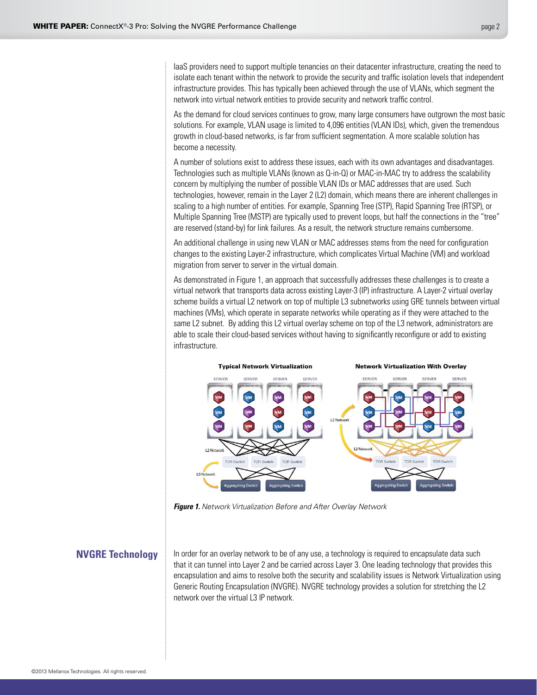<span id="page-1-0"></span>IaaS providers need to support multiple tenancies on their datacenter infrastructure, creating the need to isolate each tenant within the network to provide the security and traffic isolation levels that independent infrastructure provides. This has typically been achieved through the use of VLANs, which segment the network into virtual network entities to provide security and network traffic control.

As the demand for cloud services continues to grow, many large consumers have outgrown the most basic solutions. For example, VLAN usage is limited to 4,096 entities (VLAN IDs), which, given the tremendous growth in cloud-based networks, is far from sufficient segmentation. A more scalable solution has become a necessity.

A number of solutions exist to address these issues, each with its own advantages and disadvantages. Technologies such as multiple VLANs (known as Q-in-Q) or MAC-in-MAC try to address the scalability concern by multiplying the number of possible VLAN IDs or MAC addresses that are used. Such technologies, however, remain in the Layer 2 (L2) domain, which means there are inherent challenges in scaling to a high number of entities. For example, Spanning Tree (STP), Rapid Spanning Tree (RTSP), or Multiple Spanning Tree (MSTP) are typically used to prevent loops, but half the connections in the "tree" are reserved (stand-by) for link failures. As a result, the network structure remains cumbersome.

An additional challenge in using new VLAN or MAC addresses stems from the need for configuration changes to the existing Layer-2 infrastructure, which complicates Virtual Machine (VM) and workload migration from server to server in the virtual domain.

As demonstrated in Figure 1, an approach that successfully addresses these challenges is to create a virtual network that transports data across existing Layer-3 (IP) infrastructure. A Layer-2 virtual overlay scheme builds a virtual L2 network on top of multiple L3 subnetworks using GRE tunnels between virtual machines (VMs), which operate in separate networks while operating as if they were attached to the same L2 subnet. By adding this L2 virtual overlay scheme on top of the L3 network, administrators are able to scale their cloud-based services without having to significantly reconfigure or add to existing infrastructure.



*Figure 1. Network Virtualization Before and After Overlay Network*

## **NVGRE Technology**

In order for an overlay network to be of any use, a technology is required to encapsulate data such that it can tunnel into Layer 2 and be carried across Layer 3. One leading technology that provides this encapsulation and aims to resolve both the security and scalability issues is Network Virtualization using Generic Routing Encapsulation (NVGRE). NVGRE technology provides a solution for stretching the L2 network over the virtual L3 IP network.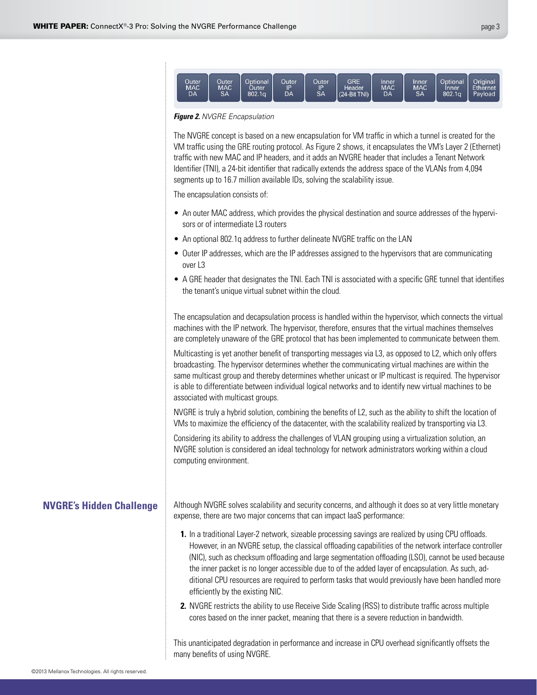<span id="page-2-0"></span>

*Figure 2. NVGRE Encapsulation*

The NVGRE concept is based on a new encapsulation for VM traffic in which a tunnel is created for the VM traffic using the GRE routing protocol. As Figure 2 shows, it encapsulates the VM's Layer 2 (Ethernet) traffic with new MAC and IP headers, and it adds an NVGRE header that includes a Tenant Network Identifier (TNI), a 24-bit identifier that radically extends the address space of the VLANs from 4,094 segments up to 16.7 million available IDs, solving the scalability issue.

The encapsulation consists of:

- An outer MAC address, which provides the physical destination and source addresses of the hypervisors or of intermediate L3 routers
- An optional 802.1q address to further delineate NVGRE traffic on the LAN
- Outer IP addresses, which are the IP addresses assigned to the hypervisors that are communicating over L3
- A GRE header that designates the TNI. Each TNI is associated with a specific GRE tunnel that identifies the tenant's unique virtual subnet within the cloud.

The encapsulation and decapsulation process is handled within the hypervisor, which connects the virtual machines with the IP network. The hypervisor, therefore, ensures that the virtual machines themselves are completely unaware of the GRE protocol that has been implemented to communicate between them.

Multicasting is yet another benefit of transporting messages via L3, as opposed to L2, which only offers broadcasting. The hypervisor determines whether the communicating virtual machines are within the same multicast group and thereby determines whether unicast or IP multicast is required. The hypervisor is able to differentiate between individual logical networks and to identify new virtual machines to be associated with multicast groups.

NVGRE is truly a hybrid solution, combining the benefits of L2, such as the ability to shift the location of VMs to maximize the efficiency of the datacenter, with the scalability realized by transporting via L3.

Considering its ability to address the challenges of VLAN grouping using a virtualization solution, an NVGRE solution is considered an ideal technology for network administrators working within a cloud computing environment.

## **NVGRE's Hidden Challenge**

Although NVGRE solves scalability and security concerns, and although it does so at very little monetary expense, there are two major concerns that can impact IaaS performance:

- **1.** In a traditional Layer-2 network, sizeable processing savings are realized by using CPU offloads. However, in an NVGRE setup, the classical offloading capabilities of the network interface controller (NIC), such as checksum offloading and large segmentation offloading (LSO), cannot be used because the inner packet is no longer accessible due to of the added layer of encapsulation. As such, additional CPU resources are required to perform tasks that would previously have been handled more efficiently by the existing NIC.
- **2.** NVGRE restricts the ability to use Receive Side Scaling (RSS) to distribute traffic across multiple cores based on the inner packet, meaning that there is a severe reduction in bandwidth.

This unanticipated degradation in performance and increase in CPU overhead significantly offsets the many benefits of using NVGRE.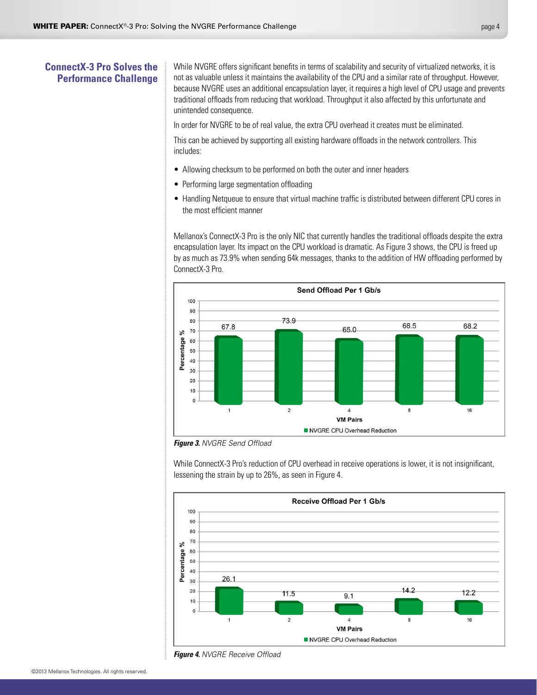## <span id="page-3-0"></span>**ConnectX-3 Pro Solves the Performance Challenge**

While NVGRE offers significant benefits in terms of scalability and security of virtualized networks, it is not as valuable unless it maintains the availability of the CPU and a similar rate of throughput. However, because NVGRE uses an additional encapsulation layer, it requires a high level of CPU usage and prevents traditional offloads from reducing that workload. Throughput it also affected by this unfortunate and unintended consequence.

In order for NVGRE to be of real value, the extra CPU overhead it creates must be eliminated.

This can be achieved by supporting all existing hardware offloads in the network controllers. This includes:

- Allowing checksum to be performed on both the outer and inner headers
- Performing large segmentation offloading
- Handling Netqueue to ensure that virtual machine traffic is distributed between different CPU cores in the most efficient manner

Mellanox's ConnectX-3 Pro is the only NIC that currently handles the traditional offloads despite the extra encapsulation layer. Its impact on the CPU workload is dramatic. As Figure 3 shows, the CPU is freed up by as much as 73.9% when sending 64k messages, thanks to the addition of HW offloading performed by ConnectX-3 Pro.



*Figure 3. NVGRE Send Offload*

While ConnectX-3 Pro's reduction of CPU overhead in receive operations is lower, it is not insignificant, lessening the strain by up to 26%, as seen in Figure 4.



*Figure 4. NVGRE Receive Offload*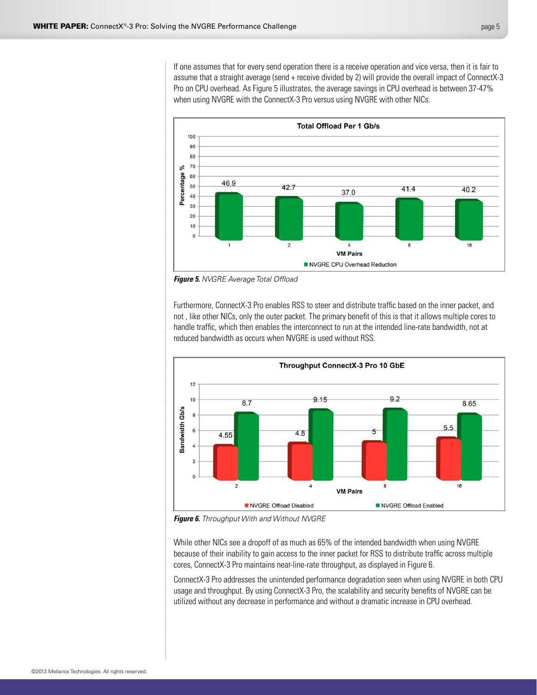If one assumes that for every send operation there is a receive operation and vice versa, then it is fair to assume that a straight average (send + receive divided by 2) will provide the overall impact of ConnectX-3 Pro on CPU overhead. As Figure 5 illustrates, the average savings in CPU overhead is between 37-47% when using NVGRE with the ConnectX-3 Pro versus using NVGRE with other NICs.



*Figure 5. NVGRE Average Total Offload*

Furthermore, ConnectX-3 Pro enables RSS to steer and distribute traffic based on the inner packet, and not , like other NICs, only the outer packet. The primary benefit of this is that it allows multiple cores to handle traffic, which then enables the interconnect to run at the intended line-rate bandwidth, not at reduced bandwidth as occurs when NVGRE is used without RSS.



*Figure 6. Throughput With and Without NVGRE*

While other NICs see a dropoff of as much as 65% of the intended bandwidth when using NVGRE because of their inability to gain access to the inner packet for RSS to distribute traffic across multiple cores, ConnectX-3 Pro maintains near-line-rate throughput, as displayed in Figure 6.

ConnectX-3 Pro addresses the unintended performance degradation seen when using NVGRE in both CPU usage and throughput. By using ConnectX-3 Pro, the scalability and security benefits of NVGRE can be utilized without any decrease in performance and without a dramatic increase in CPU overhead.